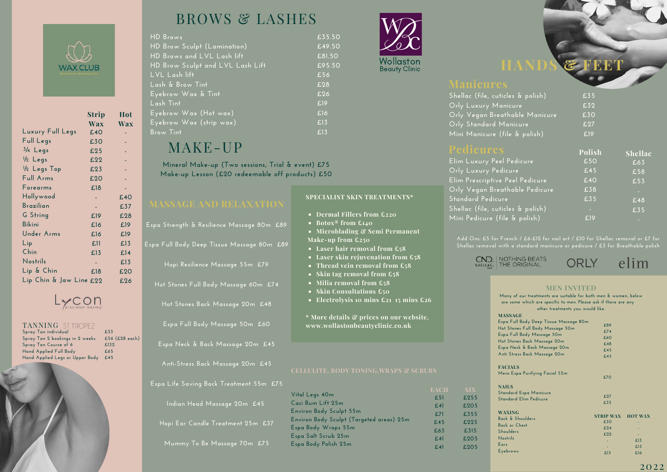

|                         | Strip      | Hot        |
|-------------------------|------------|------------|
|                         | <b>Wax</b> | <b>Wax</b> |
| Luxury Full Legs        | £40        |            |
| Full Legs               | £30        |            |
| $3/4$ Legs              | £25        |            |
| $\frac{1}{2}$ Legs      | £22        |            |
| 1/2 Legs Top            | £23        |            |
| Full Arms               | £20        |            |
| Forearms                | £18        |            |
| Hollywood               |            | £40        |
| Brazilian               | ÷.         | £37        |
| G String                | £19        | £28        |
| <b>Bikini</b>           | £16        | £19        |
| Under Arms              | £16        | £19        |
| Lip                     | £11        | E13        |
| Chin                    | £13        | E14        |
| Nostrils                |            | £13        |
| Lip & Chin              | £18        | £20        |
| Lip Chin & Jaw Line £22 |            | £26        |



## TANNING ST.TROPEZ

| £33            |
|----------------|
| £56 (£28 each) |
| £132           |
| £65            |
| £45            |
|                |

# BROWS & LASHES

| <b>HD Brows</b>                  | £35. |
|----------------------------------|------|
| HD Brow Sculpt (Lamination)      | £49  |
| HD Brows and LVL Lash lift       | £81. |
| HD Brow Sculpt and LVL Lash Lift | £95. |
| LVL Lash lift                    | £56  |
| Lash & Brow Tint                 | £28  |
| Eyebrow Wax & Tint               | £26  |
| Lash Tint                        | £19  |
| Eyebrow Wax (Hot wax)            | E16  |
| Eyebrow Wax (strip wax)          | E13  |
| <b>Brow Tint</b>                 | £13  |

# MAKE-UP

**Mineral Make-up (Two sessions, Trial & event) £75 Make-up Lesson (£20 redeemable off products) £50**

| Espa Strength & Resilience Massage 80m £89 |
|--------------------------------------------|
| Espa Full Body Deep Tissue Massage 80m £89 |
| Hopi Resilience Massage 55m £79            |
| Hot Stones Full Body Massage 60m £74       |
| Hot Stones Back Massage 20m £48            |
| Espa Full Body Massage 50m £60             |
| Espa Neck & Back Massage 20m £45           |

**Anti-Stress Back Massage 20m £45**

**Espa Life Saving Back Treatment 55m £75**

**Indian Head Massage 20** 

**Hopi** Ear Candle Treatment

**Mummy To Be Massage 70m £75**

| ent 55m £75 |                                          |             |
|-------------|------------------------------------------|-------------|
|             | Vital Legs 40m                           | <b>EACH</b> |
|             | Caci Bum Lift 25m                        | £51         |
| m £45       |                                          | E41         |
|             | <b>Environ Body Sculpt 55m</b>           | £71         |
| $125m$ £37  | Environ Body Sculpt (Targeted areas) 25m | £45         |
|             | Espa Body Wraps 55m                      | £63         |
|             | Espa Salt Scrub 25m                      | E41         |
| $70m$ £75   | Espa Body Polish 25m                     | E41         |
|             |                                          |             |

**Dermal Fillers from £220 Botox® from £140**

**Make-up from £250**

**SPECIALIST SKIN TREATMENTS\***

**Microblading & Semi Permanent**

**Electrolysis 10 mins £21 15 mins £26**

**\* More details & prices on our website. www.wollastonbeautyclinic.co.uk**

**Laser hair removal from £58 Laser skin rejuvenation from £58 Thread vein removal from £58 Skin tag removal from £58 Milia removal from £58 Skin Consultations £50**



**£35.50 £49.50 £81.50 £95.50**

**Polish**

**Shellac**

| Shellac (file, cuticles & polish) | £35             |
|-----------------------------------|-----------------|
| Orly Luxury Manicure              | £32             |
| Orly Vegan Breathable Manicure    | £30             |
| Orly Standard Manicure            | E <sub>27</sub> |
| Mini Manicure (file & polish)     | £19             |
|                                   |                 |

**£255 £205 £355 £225 £315 £205 £205**

| Elim Luxury Peel Pedicure         | £50 | £63 |
|-----------------------------------|-----|-----|
| Orly Luxury Pedicure              | £45 | £58 |
| Elim Prescriptive Peel Pedicure   | £40 | £53 |
| Orly Vegan Breathable Pedicure    | £38 | н   |
| Standard Pedicure                 | £35 | £48 |
| Shellac (file, cuticles & polish) | в   | £35 |
| Mini Pedicure (file & polish)     | £19 | ۵   |

**Shellac removal with a standard manicure or pedicure / £3 for Breathable polish**



### **MEN INVITED**

| Many of our treatments are suitable for both men & women, below |                  |                |  |  |
|-----------------------------------------------------------------|------------------|----------------|--|--|
| are some which are specific to men. Please ask if there are any |                  |                |  |  |
| other treatments you would like.                                |                  |                |  |  |
| <b>MASSAGE</b>                                                  |                  |                |  |  |
| Espa Full Body Deep Tissue Massage 80m                          |                  |                |  |  |
| Hot Stones Full Body Massage 50m                                | £89              |                |  |  |
| Espa Full Body Massage 50m                                      | £74              |                |  |  |
| Hot Stones Back Massage 20m                                     | £60              |                |  |  |
| Espa Neck & Back Massage 20m                                    | £48              |                |  |  |
| Anti Stress Back Massage 20m                                    | £45              |                |  |  |
|                                                                 | £45              |                |  |  |
| <b>FACIALS</b>                                                  |                  |                |  |  |
| Mens Espa Purifying Facial 55m                                  |                  |                |  |  |
|                                                                 | £70              |                |  |  |
| <b>NAILS</b>                                                    |                  |                |  |  |
| <b>Standard Espa Manicure</b>                                   |                  |                |  |  |
| <b>Standard Elim Pedicure</b>                                   | £27              |                |  |  |
|                                                                 | £35              |                |  |  |
|                                                                 |                  |                |  |  |
| <b>WAXING</b><br>Back & Shoulders                               | <b>STRIP WAX</b> | <b>HOT WAX</b> |  |  |
|                                                                 | £30              |                |  |  |
| <b>Back or Chest</b>                                            | £24              |                |  |  |
| <b>Shoulders</b>                                                | £22              |                |  |  |
| <b>Nostrils</b>                                                 |                  | £13            |  |  |
| Ears                                                            |                  | £13            |  |  |
| Eyebrows                                                        | E13              | £16            |  |  |
|                                                                 |                  |                |  |  |

### 2022